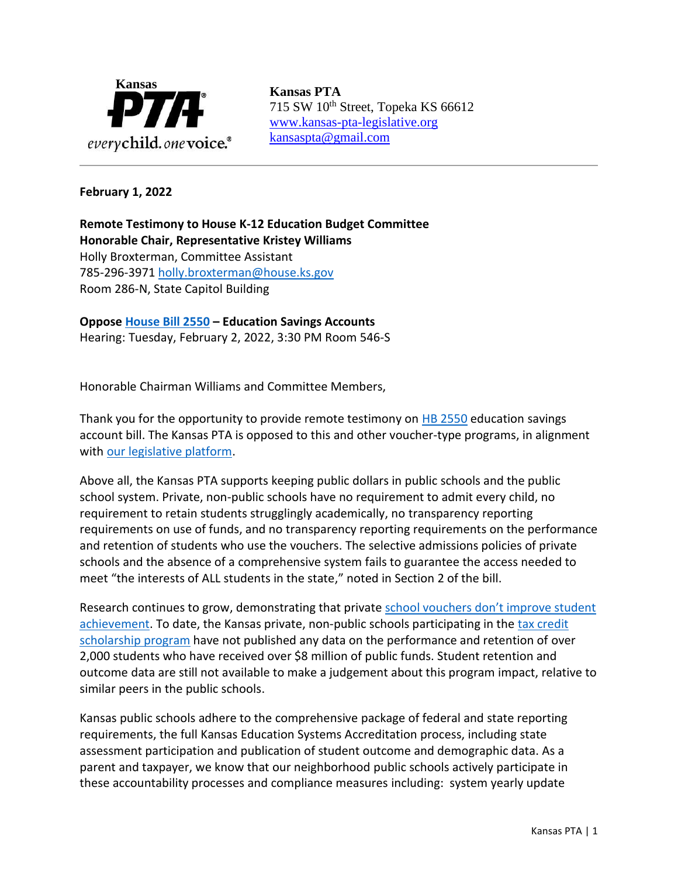

715 SW 10<sup>th</sup> Street, Topeka KS 66612 [www.kansas-pta-legislative.org](http://www.kansas-pta-legislative.org/)  [kansaspta@gmail.com](mailto:kansaspta@gmail.com)

## **February 1, 2022**

**Remote Testimony to House K-12 Education Budget Committee Honorable Chair, Representative Kristey Williams** Holly Broxterman, Committee Assistant 785-296-3971 [holly.broxterman@house.ks.gov](mailto:holly.broxterman@house.ks.gov) Room 286-N, State Capitol Building

**Oppose [House Bill 2550](http://kslegislature.org/li/b2021_22/measures/hb2550/) – Education Savings Accounts** Hearing: Tuesday, February 2, 2022, 3:30 PM Room 546-S

Honorable Chairman Williams and Committee Members,

Thank you for the opportunity to provide remote testimony on **HB 2550** education savings account bill. The Kansas PTA is opposed to this and other voucher-type programs, in alignment with [our legislative platform.](https://kansas-pta.org/advocacy/legislative-priorities/)

Above all, the Kansas PTA supports keeping public dollars in public schools and the public school system. Private, non-public schools have no requirement to admit every child, no requirement to retain students strugglingly academically, no transparency reporting requirements on use of funds, and no transparency reporting requirements on the performance and retention of students who use the vouchers. The selective admissions policies of private schools and the absence of a comprehensive system fails to guarantee the access needed to meet "the interests of ALL students in the state," noted in Section 2 of the bill.

Research continues to grow, demonstrating that private school vouchers don't improve student [achievement.](https://pfps.org/research/?fbclid=IwAR0yr5zr7w5uUKX8ZNbuNOwFhb_5NzHMpv9mUfxg_1UmlVDP0oHvs35T0OU) To date, the Kansas private, non-public schools participating in the [tax credit](https://www.ksde.org/Portals/0/School%20Finance/Action%20Items/Legislative%20Report%20January%202021%20TCLISSP.pdf?ver=2021-01-08-155425-517)  [scholarship program](https://www.ksde.org/Portals/0/School%20Finance/Action%20Items/Legislative%20Report%20January%202021%20TCLISSP.pdf?ver=2021-01-08-155425-517) have not published any data on the performance and retention of over 2,000 students who have received over \$8 million of public funds. Student retention and outcome data are still not available to make a judgement about this program impact, relative to similar peers in the public schools.

Kansas public schools adhere to the comprehensive package of federal and state reporting requirements, the full Kansas Education Systems Accreditation process, including state assessment participation and publication of student outcome and demographic data. As a parent and taxpayer, we know that our neighborhood public schools actively participate in these accountability processes and compliance measures including: system yearly update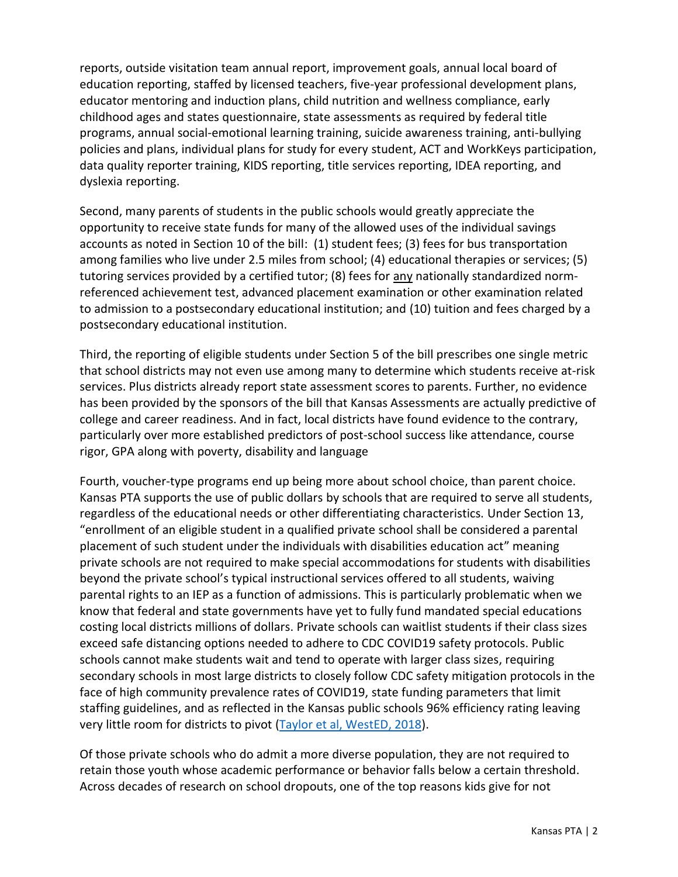reports, outside visitation team annual report, improvement goals, annual local board of education reporting, staffed by licensed teachers, five-year professional development plans, educator mentoring and induction plans, child nutrition and wellness compliance, early childhood ages and states questionnaire, state assessments as required by federal title programs, annual social-emotional learning training, suicide awareness training, anti-bullying policies and plans, individual plans for study for every student, ACT and WorkKeys participation, data quality reporter training, KIDS reporting, title services reporting, IDEA reporting, and dyslexia reporting.

Second, many parents of students in the public schools would greatly appreciate the opportunity to receive state funds for many of the allowed uses of the individual savings accounts as noted in Section 10 of the bill: (1) student fees; (3) fees for bus transportation among families who live under 2.5 miles from school; (4) educational therapies or services; (5) tutoring services provided by a certified tutor; (8) fees for any nationally standardized normreferenced achievement test, advanced placement examination or other examination related to admission to a postsecondary educational institution; and (10) tuition and fees charged by a postsecondary educational institution.

Third, the reporting of eligible students under Section 5 of the bill prescribes one single metric that school districts may not even use among many to determine which students receive at-risk services. Plus districts already report state assessment scores to parents. Further, no evidence has been provided by the sponsors of the bill that Kansas Assessments are actually predictive of college and career readiness. And in fact, local districts have found evidence to the contrary, particularly over more established predictors of post-school success like attendance, course rigor, GPA along with poverty, disability and language

Fourth, voucher-type programs end up being more about school choice, than parent choice. Kansas PTA supports the use of public dollars by schools that are required to serve all students, regardless of the educational needs or other differentiating characteristics. Under Section 13, "enrollment of an eligible student in a qualified private school shall be considered a parental placement of such student under the individuals with disabilities education act" meaning private schools are not required to make special accommodations for students with disabilities beyond the private school's typical instructional services offered to all students, waiving parental rights to an IEP as a function of admissions. This is particularly problematic when we know that federal and state governments have yet to fully fund mandated special educations costing local districts millions of dollars. Private schools can waitlist students if their class sizes exceed safe distancing options needed to adhere to CDC COVID19 safety protocols. Public schools cannot make students wait and tend to operate with larger class sizes, requiring secondary schools in most large districts to closely follow CDC safety mitigation protocols in the face of high community prevalence rates of COVID19, state funding parameters that limit staffing guidelines, and as reflected in the Kansas public schools 96% efficiency rating leaving very little room for districts to pivot [\(Taylor et al, WestED, 2018\)](http://www.robblaw.com/PDFs/Taylor%20Kansas%20Adequacy%20Study%202018-03-18%202ND%20VERSION.pdf).

Of those private schools who do admit a more diverse population, they are not required to retain those youth whose academic performance or behavior falls below a certain threshold. Across decades of research on school dropouts, one of the top reasons kids give for not